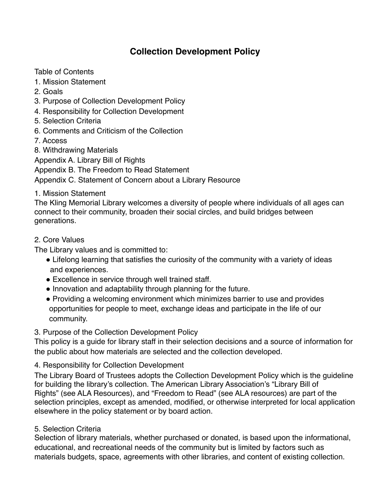# **Collection Development Policy**

Table of Contents

- 1. Mission Statement
- 2. Goals
- 3. Purpose of Collection Development Policy
- 4. Responsibility for Collection Development
- 5. Selection Criteria
- 6. Comments and Criticism of the Collection
- 7. Access
- 8. Withdrawing Materials

Appendix A. Library Bill of Rights

Appendix B. The Freedom to Read Statement

Appendix C. Statement of Concern about a Library Resource

#### 1. Mission Statement

The Kling Memorial Library welcomes a diversity of people where individuals of all ages can connect to their community, broaden their social circles, and build bridges between generations.

#### 2. Core Values

The Library values and is committed to:

- Lifelong learning that satisfies the curiosity of the community with a variety of ideas and experiences.
- Excellence in service through well trained staff.
- Innovation and adaptability through planning for the future.
- Providing a welcoming environment which minimizes barrier to use and provides opportunities for people to meet, exchange ideas and participate in the life of our community.

# 3. Purpose of the Collection Development Policy

This policy is a guide for library staff in their selection decisions and a source of information for the public about how materials are selected and the collection developed.

# 4. Responsibility for Collection Development

The Library Board of Trustees adopts the Collection Development Policy which is the guideline for building the library's collection. The American Library Association's "Library Bill of Rights" (see ALA Resources), and "Freedom to Read" (see ALA resources) are part of the selection principles, except as amended, modified, or otherwise interpreted for local application elsewhere in the policy statement or by board action.

# 5. Selection Criteria

Selection of library materials, whether purchased or donated, is based upon the informational, educational, and recreational needs of the community but is limited by factors such as materials budgets, space, agreements with other libraries, and content of existing collection.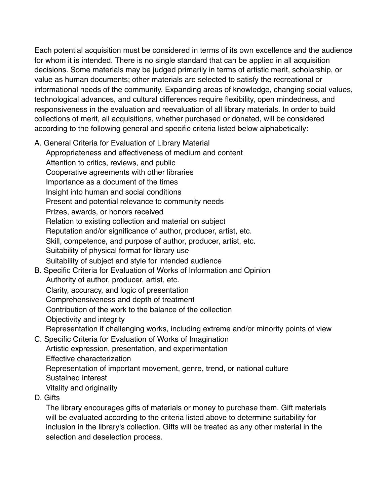Each potential acquisition must be considered in terms of its own excellence and the audience for whom it is intended. There is no single standard that can be applied in all acquisition decisions. Some materials may be judged primarily in terms of artistic merit, scholarship, or value as human documents; other materials are selected to satisfy the recreational or informational needs of the community. Expanding areas of knowledge, changing social values, technological advances, and cultural differences require flexibility, open mindedness, and responsiveness in the evaluation and reevaluation of all library materials. In order to build collections of merit, all acquisitions, whether purchased or donated, will be considered according to the following general and specific criteria listed below alphabetically:

A. General Criteria for Evaluation of Library Material

Appropriateness and effectiveness of medium and content Attention to critics, reviews, and public Cooperative agreements with other libraries Importance as a document of the times Insight into human and social conditions Present and potential relevance to community needs Prizes, awards, or honors received Relation to existing collection and material on subject Reputation and/or significance of author, producer, artist, etc. Skill, competence, and purpose of author, producer, artist, etc. Suitability of physical format for library use Suitability of subject and style for intended audience

- B. Specific Criteria for Evaluation of Works of Information and Opinion Authority of author, producer, artist, etc. Clarity, accuracy, and logic of presentation Comprehensiveness and depth of treatment Contribution of the work to the balance of the collection Objectivity and integrity Representation if challenging works, including extreme and/or minority points of view
- C. Specific Criteria for Evaluation of Works of Imagination Artistic expression, presentation, and experimentation Effective characterization Representation of important movement, genre, trend, or national culture Sustained interest Vitality and originality
- D. Gifts

The library encourages gifts of materials or money to purchase them. Gift materials will be evaluated according to the criteria listed above to determine suitability for inclusion in the library's collection. Gifts will be treated as any other material in the selection and deselection process.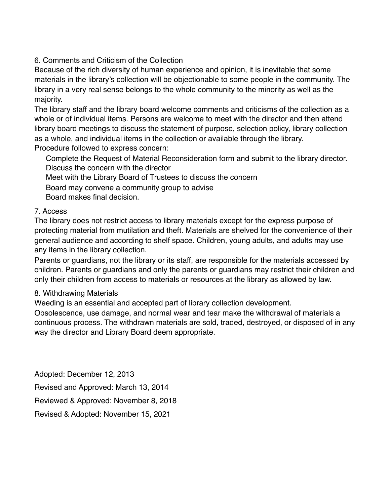#### 6. Comments and Criticism of the Collection

Because of the rich diversity of human experience and opinion, it is inevitable that some materials in the library's collection will be objectionable to some people in the community. The library in a very real sense belongs to the whole community to the minority as well as the majority.

The library staff and the library board welcome comments and criticisms of the collection as a whole or of individual items. Persons are welcome to meet with the director and then attend library board meetings to discuss the statement of purpose, selection policy, library collection as a whole, and individual items in the collection or available through the library. Procedure followed to express concern:

Complete the Request of Material Reconsideration form and submit to the library director. Discuss the concern with the director

Meet with the Library Board of Trustees to discuss the concern

Board may convene a community group to advise

Board makes final decision.

#### 7. Access

The library does not restrict access to library materials except for the express purpose of protecting material from mutilation and theft. Materials are shelved for the convenience of their general audience and according to shelf space. Children, young adults, and adults may use any items in the library collection.

Parents or guardians, not the library or its staff, are responsible for the materials accessed by children. Parents or guardians and only the parents or guardians may restrict their children and only their children from access to materials or resources at the library as allowed by law.

# 8. Withdrawing Materials

Weeding is an essential and accepted part of library collection development.

Obsolescence, use damage, and normal wear and tear make the withdrawal of materials a continuous process. The withdrawn materials are sold, traded, destroyed, or disposed of in any way the director and Library Board deem appropriate.

Adopted: December 12, 2013 Revised and Approved: March 13, 2014 Reviewed & Approved: November 8, 2018 Revised & Adopted: November 15, 2021